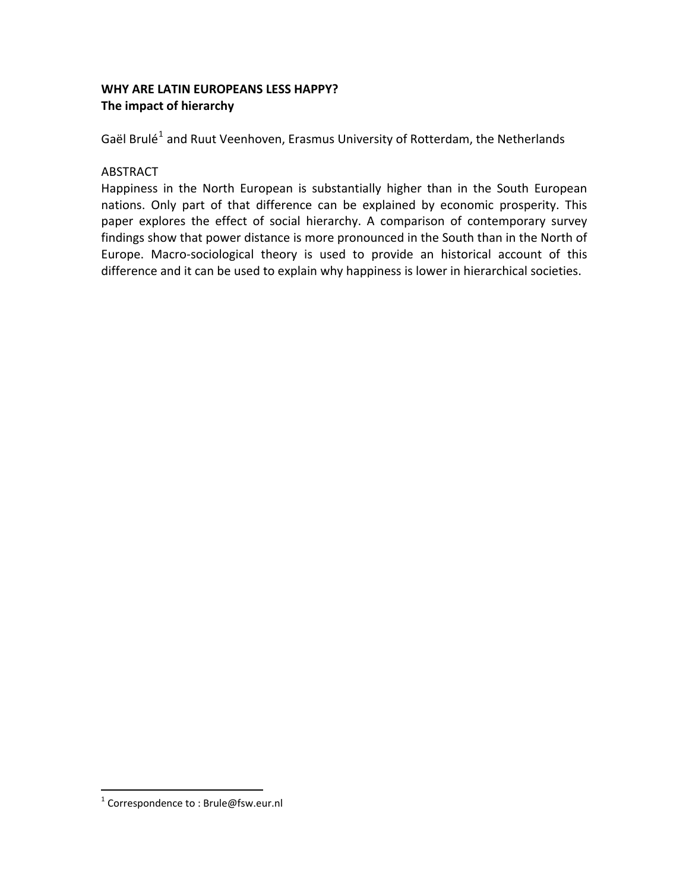# **WHY ARE LATIN EUROPEANS LESS HAPPY? The impact of hierarchy**

Gaël Brulé<sup>[1](#page-0-0)</sup> and Ruut Veenhoven, Erasmus University of Rotterdam, the Netherlands

# ABSTRACT

Happiness in the North European is substantially higher than in the South European nations. Only part of that difference can be explained by economic prosperity. This paper explores the effect of social hierarchy. A comparison of contemporary survey findings show that power distance is more pronounced in the South than in the North of Europe. Macro‐sociological theory is used to provide an historical account of this difference and it can be used to explain why happiness is lower in hierarchical societies.

<span id="page-0-0"></span> $1$  Correspondence to : Brule@fsw.eur.nl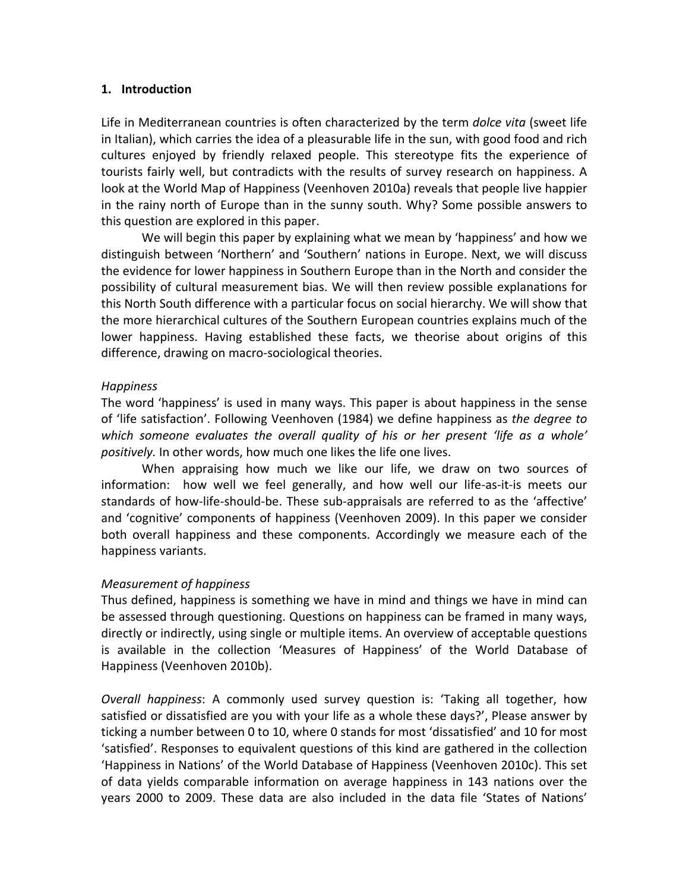### **1. Introduction**

Life in Mediterranean countries is often characterized by the term *dolce vita* (sweet life in Italian), which carries the idea of a pleasurable life in the sun, with good food and rich cultures enjoyed by friendly relaxed people. This stereotype fits the experience of tourists fairly well, but contradicts with the results of survey research on happiness. A look at the World Map of Happiness (Veenhoven 2010a) reveals that people live happier in the rainy north of Europe than in the sunny south. Why? Some possible answers to this question are explored in this paper.

We will begin this paper by explaining what we mean by 'happiness' and how we distinguish between 'Northern' and 'Southern' nations in Europe. Next, we will discuss the evidence for lower happiness in Southern Europe than in the North and consider the possibility of cultural measurement bias. We will then review possible explanations for this North South difference with a particular focus on social hierarchy. We will show that the more hierarchical cultures of the Southern European countries explains much of the lower happiness. Having established these facts, we theorise about origins of this difference, drawing on macro‐sociological theories.

# *Happiness*

The word 'happiness' is used in many ways. This paper is about happiness in the sense of 'life satisfaction'. Following Veenhoven (1984) we define happiness as *the degree to which someone evaluates the overall quality of his or her present 'life as a whole' positively.* In other words, how much one likes the life one lives.

When appraising how much we like our life, we draw on two sources of information: how well we feel generally, and how well our life‐as‐it‐is meets our standards of how‐life‐should‐be. These sub‐appraisals are referred to as the 'affective' and 'cognitive' components of happiness (Veenhoven 2009). In this paper we consider both overall happiness and these components. Accordingly we measure each of the happiness variants.

# *Measurement of happiness*

Thus defined, happiness is something we have in mind and things we have in mind can be assessed through questioning. Questions on happiness can be framed in many ways, directly or indirectly, using single or multiple items. An overview of acceptable questions is available in the collection 'Measures of Happiness' of the World Database of Happiness (Veenhoven 2010b).

*Overall happiness*: A commonly used survey question is: 'Taking all together, how satisfied or dissatisfied are you with your life as a whole these days?', Please answer by ticking a number between 0 to 10, where 0 stands for most 'dissatisfied' and 10 for most 'satisfied'. Responses to equivalent questions of this kind are gathered in the collection 'Happiness in Nations' of the World Database of Happiness (Veenhoven 2010c). This set of data yields comparable information on average happiness in 143 nations over the years 2000 to 2009. These data are also included in the data file 'States of Nations'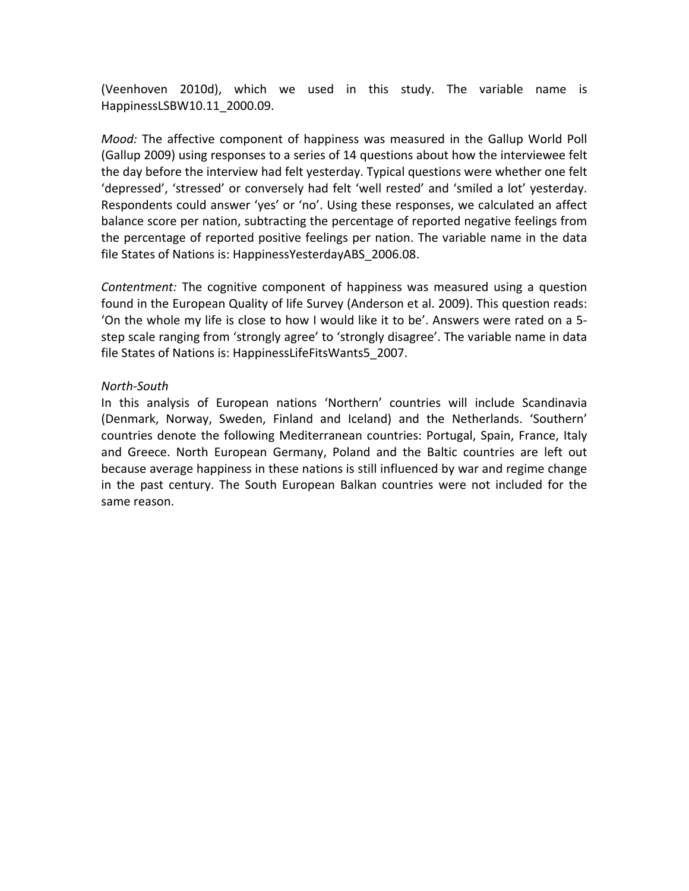(Veenhoven 2010d), which we used in this study. The variable name is HappinessLSBW10.11\_2000.09.

*Mood:* The affective component of happiness was measured in the Gallup World Poll (Gallup 2009) using responses to a series of 14 questions about how the interviewee felt the day before the interview had felt yesterday. Typical questions were whether one felt 'depressed', 'stressed' or conversely had felt 'well rested' and 'smiled a lot' yesterday. Respondents could answer 'yes' or 'no'. Using these responses, we calculated an affect balance score per nation, subtracting the percentage of reported negative feelings from the percentage of reported positive feelings per nation. The variable name in the data file States of Nations is: HappinessYesterdayABS\_2006.08.

*Contentment:* The cognitive component of happiness was measured using a question found in the European Quality of life Survey (Anderson et al. 2009). This question reads: 'On the whole my life is close to how I would like it to be'. Answers were rated on a 5‐ step scale ranging from 'strongly agree' to 'strongly disagree'. The variable name in data file States of Nations is: HappinessLifeFitsWants5\_2007.

### *North‐South*

In this analysis of European nations 'Northern' countries will include Scandinavia (Denmark, Norway, Sweden, Finland and Iceland) and the Netherlands. 'Southern' countries denote the following Mediterranean countries: Portugal, Spain, France, Italy and Greece. North European Germany, Poland and the Baltic countries are left out because average happiness in these nations is still influenced by war and regime change in the past century. The South European Balkan countries were not included for the same reason.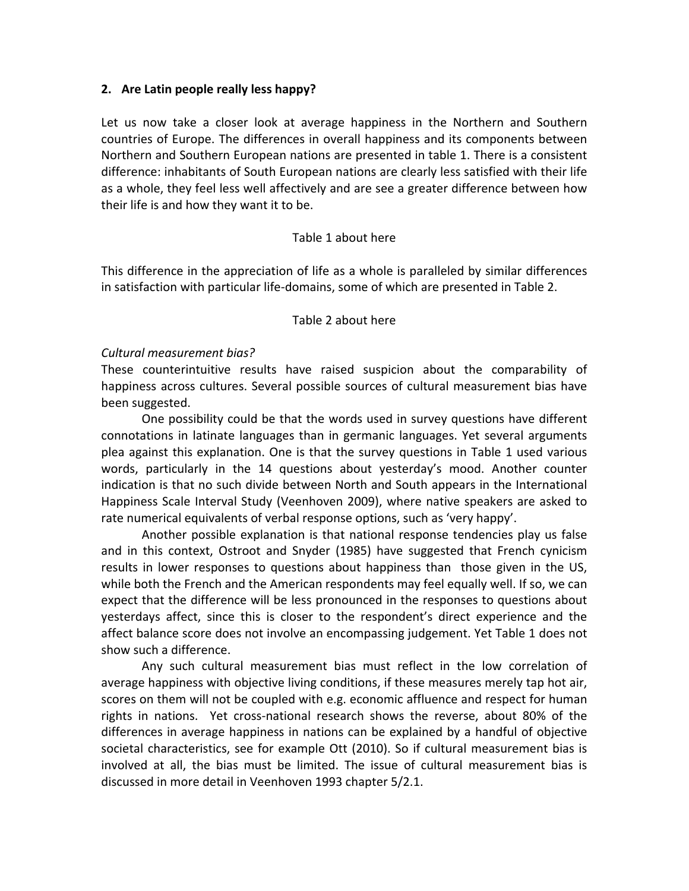### **2. Are Latin people really less happy?**

Let us now take a closer look at average happiness in the Northern and Southern countries of Europe. The differences in overall happiness and its components between Northern and Southern European nations are presented in table 1. There is a consistent difference: inhabitants of South European nations are clearly less satisfied with their life as a whole, they feel less well affectively and are see a greater difference between how their life is and how they want it to be.

# Table 1 about here

This difference in the appreciation of life as a whole is paralleled by similar differences in satisfaction with particular life‐domains, some of which are presented in [Table](#page-15-0) 2.

#### Table 2 about here

### *Cultural measurement bias?*

These counterintuitive results have raised suspicion about the comparability of happiness across cultures. Several possible sources of cultural measurement bias have been suggested.

One possibility could be that the words used in survey questions have different connotations in latinate languages than in germanic languages. Yet several arguments plea against this explanation. One is that the survey questions in [Table](#page-14-0) 1 used various words, particularly in the 14 questions about yesterday's mood. Another counter indication is that no such divide between North and South appears in the International Happiness Scale Interval Study (Veenhoven 2009), where native speakers are asked to rate numerical equivalents of verbal response options, such as 'very happy'.

Another possible explanation is that national response tendencies play us false and in this context, Ostroot and Snyder (1985) have suggested that French cynicism results in lower responses to questions about happiness than those given in the US, while both the French and the American respondents may feel equally well. If so, we can expect that the difference will be less pronounced in the responses to questions about yesterdays affect, since this is closer to the respondent's direct experience and the affect balance score does not involve an encompassing judgement. Yet [Table](#page-14-0) 1 does not show such a difference.

Any such cultural measurement bias must reflect in the low correlation of average happiness with objective living conditions, if these measures merely tap hot air, scores on them will not be coupled with e.g. economic affluence and respect for human rights in nations. Yet cross-national research shows the reverse, about 80% of the differences in average happiness in nations can be explained by a handful of objective societal characteristics, see for example Ott (2010). So if cultural measurement bias is involved at all, the bias must be limited. The issue of cultural measurement bias is discussed in more detail in Veenhoven 1993 chapter 5/2.1.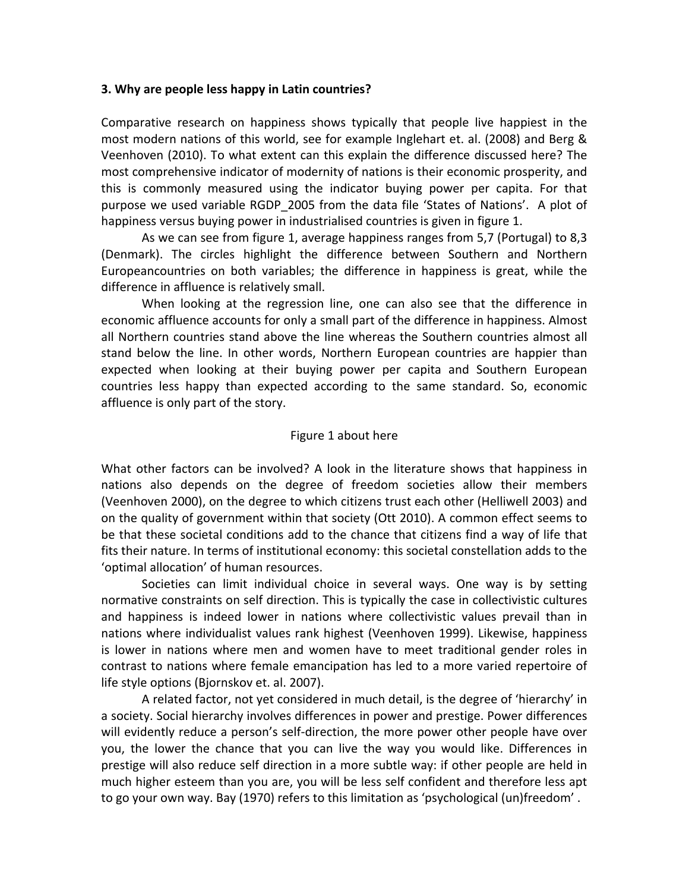### **3. Why are people less happy in Latin countries?**

Comparative research on happiness shows typically that people live happiest in the most modern nations of this world, see for example Inglehart et. al. (2008) and Berg & Veenhoven (2010). To what extent can this explain the difference discussed here? The most comprehensive indicator of modernity of nations is their economic prosperity, and this is commonly measured using the indicator buying power per capita. For that purpose we used variable RGDP\_2005 from the data file 'States of Nations'. A plot of happiness versus buying power in industrialised countries is given in figure 1.

 As we can see from figure 1, average happiness ranges from 5,7 (Portugal) to 8,3 (Denmark). The circles highlight the difference between Southern and Northern Europeancountries on both variables; the difference in happiness is great, while the difference in affluence is relatively small.

When looking at the regression line, one can also see that the difference in economic affluence accounts for only a small part of the difference in happiness. Almost all Northern countries stand above the line whereas the Southern countries almost all stand below the line. In other words, Northern European countries are happier than expected when looking at their buying power per capita and Southern European countries less happy than expected according to the same standard. So, economic affluence is only part of the story.

# Figure 1 about here

What other factors can be involved? A look in the literature shows that happiness in nations also depends on the degree of freedom societies allow their members (Veenhoven 2000), on the degree to which citizens trust each other (Helliwell 2003) and on the quality of government within that society (Ott 2010). A common effect seems to be that these societal conditions add to the chance that citizens find a way of life that fits their nature. In terms of institutional economy: this societal constellation adds to the 'optimal allocation' of human resources.

Societies can limit individual choice in several ways. One way is by setting normative constraints on self direction. This is typically the case in collectivistic cultures and happiness is indeed lower in nations where collectivistic values prevail than in nations where individualist values rank highest (Veenhoven 1999). Likewise, happiness is lower in nations where men and women have to meet traditional gender roles in contrast to nations where female emancipation has led to a more varied repertoire of life style options (Bjornskov et. al. 2007).

A related factor, not yet considered in much detail, is the degree of 'hierarchy' in a society. Social hierarchy involves differences in power and prestige. Power differences will evidently reduce a person's self-direction, the more power other people have over you, the lower the chance that you can live the way you would like. Differences in prestige will also reduce self direction in a more subtle way: if other people are held in much higher esteem than you are, you will be less self confident and therefore less apt to go your own way. Bay (1970) refers to this limitation as 'psychological (un)freedom' .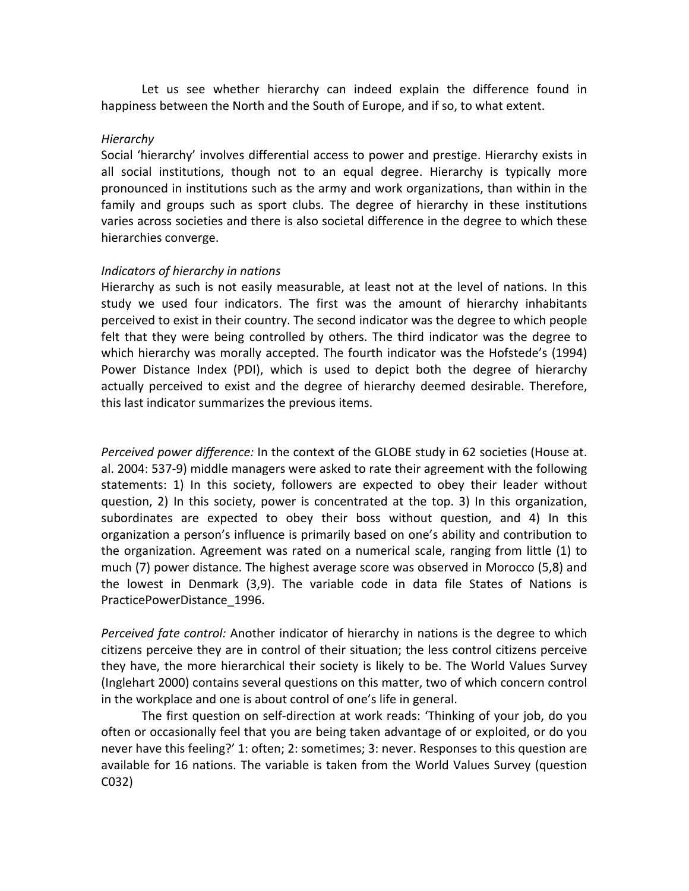Let us see whether hierarchy can indeed explain the difference found in happiness between the North and the South of Europe, and if so, to what extent.

#### *Hierarchy*

Social 'hierarchy' involves differential access to power and prestige. Hierarchy exists in all social institutions, though not to an equal degree. Hierarchy is typically more pronounced in institutions such as the army and work organizations, than within in the family and groups such as sport clubs. The degree of hierarchy in these institutions varies across societies and there is also societal difference in the degree to which these hierarchies converge.

#### *Indicators of hierarchy in nations*

Hierarchy as such is not easily measurable, at least not at the level of nations. In this study we used four indicators. The first was the amount of hierarchy inhabitants perceived to exist in their country. The second indicator was the degree to which people felt that they were being controlled by others. The third indicator was the degree to which hierarchy was morally accepted. The fourth indicator was the Hofstede's (1994) Power Distance Index (PDI), which is used to depict both the degree of hierarchy actually perceived to exist and the degree of hierarchy deemed desirable. Therefore, this last indicator summarizes the previous items.

*Perceived power difference:* In the context of the GLOBE study in 62 societies (House at. al. 2004: 537‐9) middle managers were asked to rate their agreement with the following statements: 1) In this society, followers are expected to obey their leader without question, 2) In this society, power is concentrated at the top. 3) In this organization, subordinates are expected to obey their boss without question, and 4) In this organization a person's influence is primarily based on one's ability and contribution to the organization. Agreement was rated on a numerical scale, ranging from little (1) to much (7) power distance. The highest average score was observed in Morocco (5,8) and the lowest in Denmark (3,9). The variable code in data file States of Nations is PracticePowerDistance\_1996.

*Perceived fate control:* Another indicator of hierarchy in nations is the degree to which citizens perceive they are in control of their situation; the less control citizens perceive they have, the more hierarchical their society is likely to be. The World Values Survey (Inglehart 2000) contains several questions on this matter, two of which concern control in the workplace and one is about control of one's life in general.

The first question on self‐direction at work reads: 'Thinking of your job, do you often or occasionally feel that you are being taken advantage of or exploited, or do you never have this feeling?' 1: often; 2: sometimes; 3: never. Responses to this question are available for 16 nations. The variable is taken from the World Values Survey (question C032)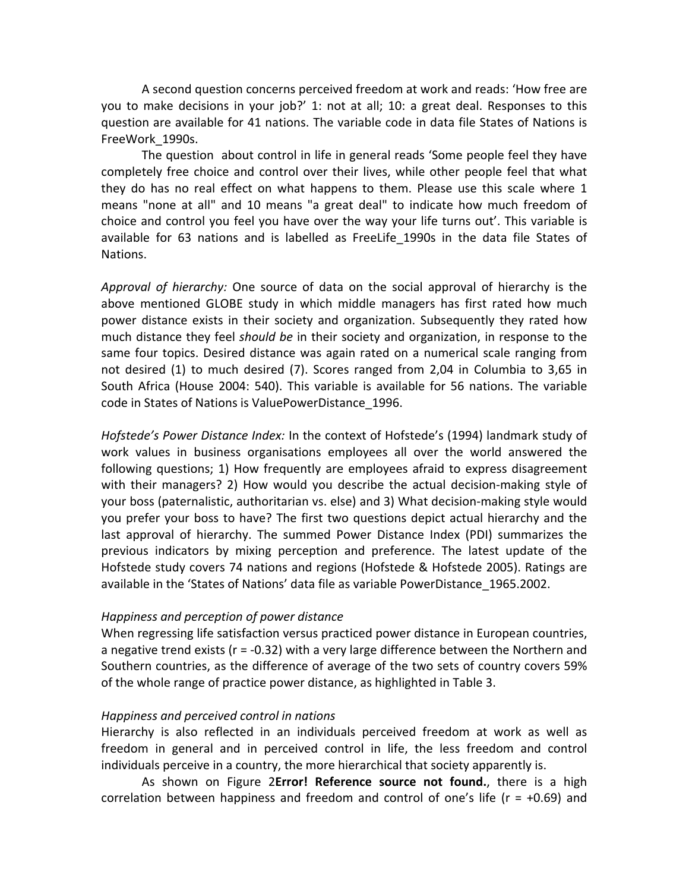A second question concerns perceived freedom at work and reads: 'How free are you to make decisions in your job?' 1: not at all; 10: a great deal. Responses to this question are available for 41 nations. The variable code in data file States of Nations is FreeWork\_1990s.

The question about control in life in general reads 'Some people feel they have completely free choice and control over their lives, while other people feel that what they do has no real effect on what happens to them. Please use this scale where 1 means "none at all" and 10 means "a great deal" to indicate how much freedom of choice and control you feel you have over the way your life turns out'. This variable is available for 63 nations and is labelled as FreeLife 1990s in the data file States of Nations.

*Approval of hierarchy:* One source of data on the social approval of hierarchy is the above mentioned GLOBE study in which middle managers has first rated how much power distance exists in their society and organization. Subsequently they rated how much distance they feel *should be* in their society and organization, in response to the same four topics. Desired distance was again rated on a numerical scale ranging from not desired (1) to much desired (7). Scores ranged from 2,04 in Columbia to 3,65 in South Africa (House 2004: 540). This variable is available for 56 nations. The variable code in States of Nations is ValuePowerDistance\_1996.

*Hofstede's Power Distance Index:* In the context of Hofstede's (1994) landmark study of work values in business organisations employees all over the world answered the following questions; 1) How frequently are employees afraid to express disagreement with their managers? 2) How would you describe the actual decision-making style of your boss (paternalistic, authoritarian vs. else) and 3) What decision‐making style would you prefer your boss to have? The first two questions depict actual hierarchy and the last approval of hierarchy. The summed Power Distance Index (PDI) summarizes the previous indicators by mixing perception and preference. The latest update of the Hofstede study covers 74 nations and regions (Hofstede & Hofstede 2005). Ratings are available in the 'States of Nations' data file as variable PowerDistance\_1965.2002.

#### *Happiness and perception of power distance*

When regressing life satisfaction versus practiced power distance in European countries, a negative trend exists ( $r = -0.32$ ) with a very large difference between the Northern and Southern countries, as the difference of average of the two sets of country covers 59% of the whole range of practice power distance, as highlighted in [Table](#page-16-0) 3.

# *Happiness and perceived control in nations*

Hierarchy is also reflected in an individuals perceived freedom at work as well as freedom in general and in perceived control in life, the less freedom and control individuals perceive in a country, the more hierarchical that society apparently is.

As shown on [Figure](#page-18-0) 2**Error! Reference source not found.**, there is a high correlation between happiness and freedom and control of one's life ( $r = +0.69$ ) and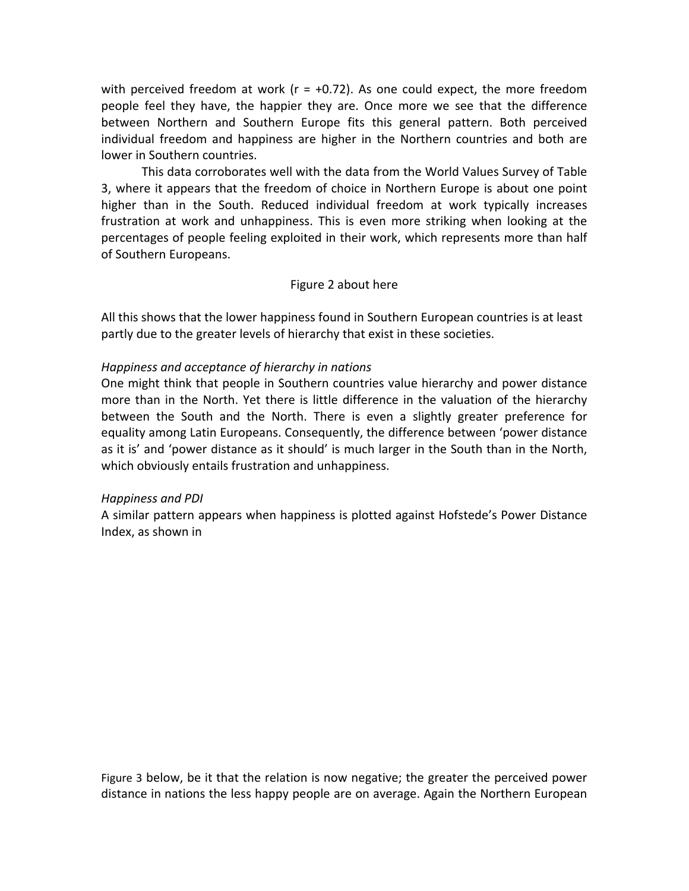with perceived freedom at work ( $r = +0.72$ ). As one could expect, the more freedom people feel they have, the happier they are. Once more we see that the difference between Northern and Southern Europe fits this general pattern. Both perceived individual freedom and happiness are higher in the Northern countries and both are lower in Southern countries.

This data corroborates well with the data from the World Values Survey of [Table](#page-16-0) [3](#page-16-0), where it appears that the freedom of choice in Northern Europe is about one point higher than in the South. Reduced individual freedom at work typically increases frustration at work and unhappiness. This is even more striking when looking at the percentages of people feeling exploited in their work, which represents more than half of Southern Europeans.

# Figure 2 about here

All this shows that the lower happiness found in Southern European countries is at least partly due to the greater levels of hierarchy that exist in these societies.

# *Happiness and acceptance of hierarchy in nations*

One might think that people in Southern countries value hierarchy and power distance more than in the North. Yet there is little difference in the valuation of the hierarchy between the South and the North. There is even a slightly greater preference for equality among Latin Europeans. Consequently, the difference between 'power distance as it is' and 'power distance as it should' is much larger in the South than in the North, which obviously entails frustration and unhappiness.

# *Happiness and PDI*

A similar pattern appears when happiness is plotted against Hofstede's Power Distance Index, as shown in

Figure 3 below, be it that the relation is now negative; the greater the perceived power distance in nations the less happy people are on average. Again the Northern European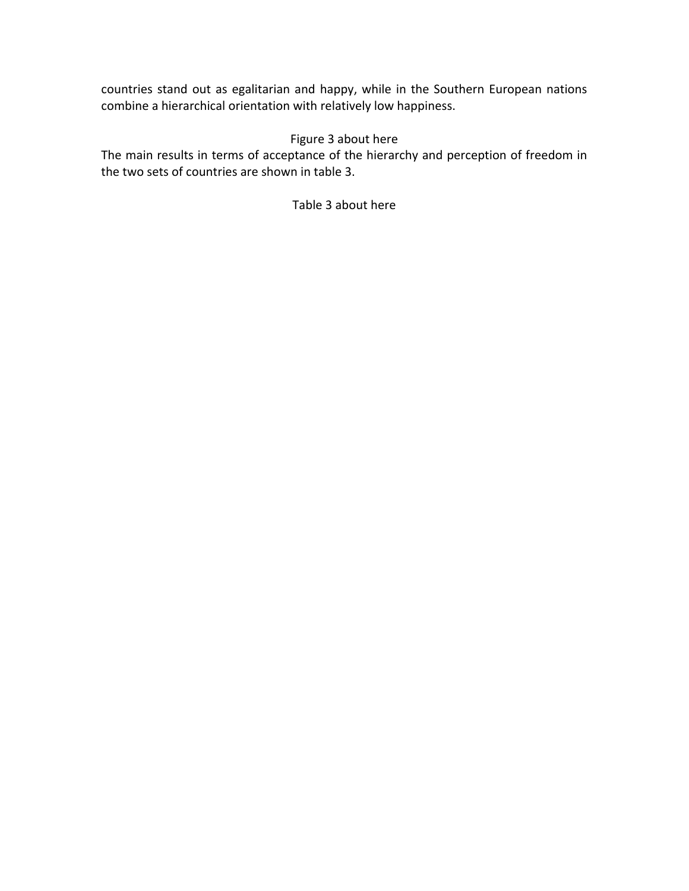countries stand out as egalitarian and happy, while in the Southern European nations combine a hierarchical orientation with relatively low happiness.

# Figure 3 about here

The main results in terms of acceptance of the hierarchy and perception of freedom in the two sets of countries are shown in table 3.

Table 3 about here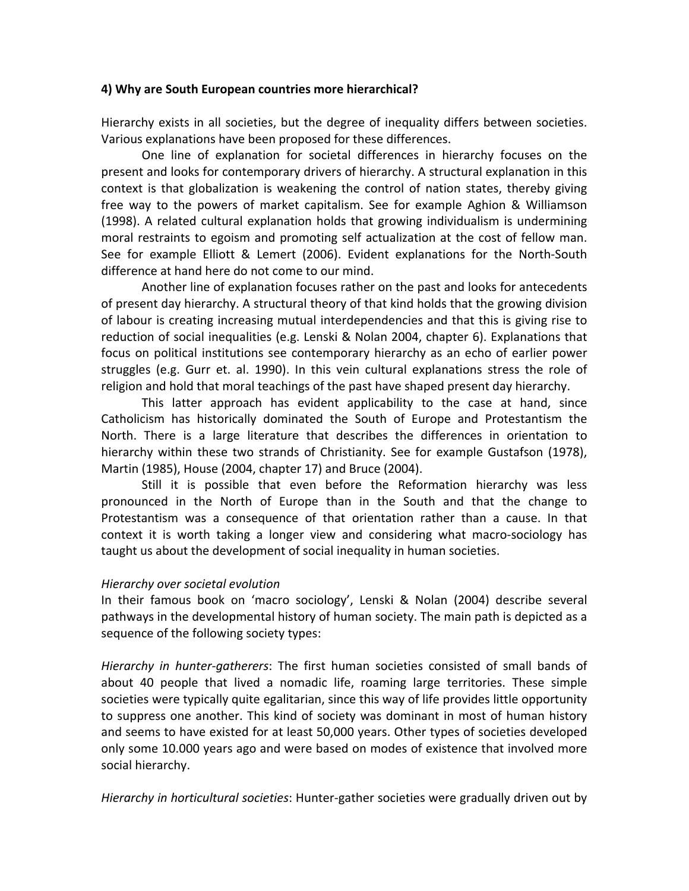### **4) Why are South European countries more hierarchical?**

Hierarchy exists in all societies, but the degree of inequality differs between societies. Various explanations have been proposed for these differences.

One line of explanation for societal differences in hierarchy focuses on the present and looks for contemporary drivers of hierarchy. A structural explanation in this context is that globalization is weakening the control of nation states, thereby giving free way to the powers of market capitalism. See for example Aghion & Williamson (1998). A related cultural explanation holds that growing individualism is undermining moral restraints to egoism and promoting self actualization at the cost of fellow man. See for example Elliott & Lemert (2006). Evident explanations for the North‐South difference at hand here do not come to our mind.

Another line of explanation focuses rather on the past and looks for antecedents of present day hierarchy. A structural theory of that kind holds that the growing division of labour is creating increasing mutual interdependencies and that this is giving rise to reduction of social inequalities (e.g. Lenski & Nolan 2004, chapter 6). Explanations that focus on political institutions see contemporary hierarchy as an echo of earlier power struggles (e.g. Gurr et. al. 1990). In this vein cultural explanations stress the role of religion and hold that moral teachings of the past have shaped present day hierarchy.

This latter approach has evident applicability to the case at hand, since Catholicism has historically dominated the South of Europe and Protestantism the North. There is a large literature that describes the differences in orientation to hierarchy within these two strands of Christianity. See for example Gustafson (1978), Martin (1985), House (2004, chapter 17) and Bruce (2004).

Still it is possible that even before the Reformation hierarchy was less pronounced in the North of Europe than in the South and that the change to Protestantism was a consequence of that orientation rather than a cause. In that context it is worth taking a longer view and considering what macro‐sociology has taught us about the development of social inequality in human societies.

# *Hierarchy over societal evolution*

In their famous book on 'macro sociology', Lenski & Nolan (2004) describe several pathways in the developmental history of human society. The main path is depicted as a sequence of the following society types:

*Hierarchy in hunter‐gatherers*: The first human societies consisted of small bands of about 40 people that lived a nomadic life, roaming large territories. These simple societies were typically quite egalitarian, since this way of life provides little opportunity to suppress one another. This kind of society was dominant in most of human history and seems to have existed for at least 50,000 years. Other types of societies developed only some 10.000 years ago and were based on modes of existence that involved more social hierarchy.

*Hierarchy in horticultural societies*: Hunter‐gather societies were gradually driven out by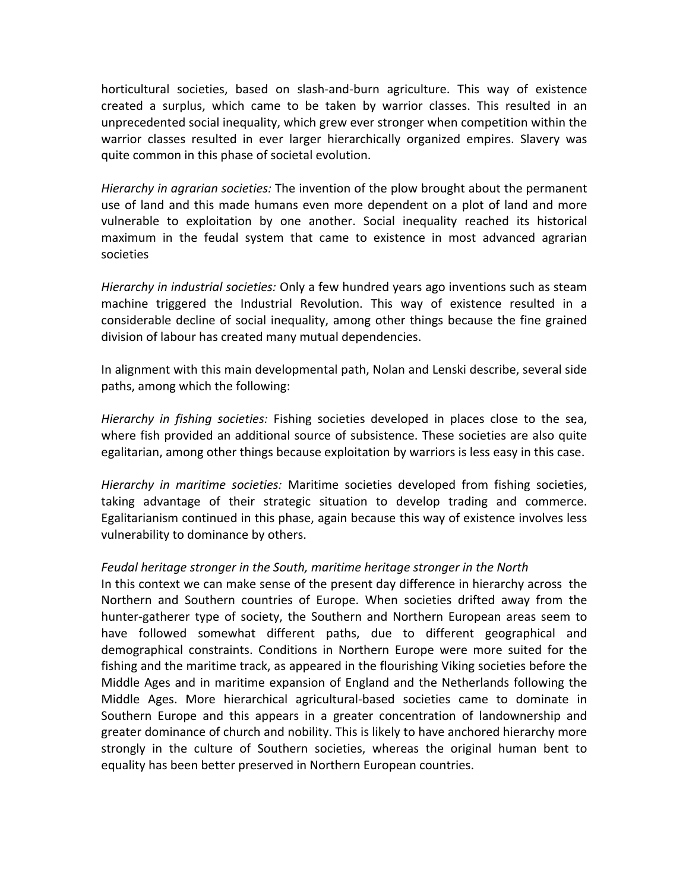horticultural societies, based on slash‐and‐burn agriculture. This way of existence created a surplus, which came to be taken by warrior classes. This resulted in an unprecedented social inequality, which grew ever stronger when competition within the warrior classes resulted in ever larger hierarchically organized empires. Slavery was quite common in this phase of societal evolution.

*Hierarchy in agrarian societies:* The invention of the plow brought about the permanent use of land and this made humans even more dependent on a plot of land and more vulnerable to exploitation by one another. Social inequality reached its historical maximum in the feudal system that came to existence in most advanced agrarian societies

*Hierarchy in industrial societies:* Only a few hundred years ago inventions such as steam machine triggered the Industrial Revolution. This way of existence resulted in a considerable decline of social inequality, among other things because the fine grained division of labour has created many mutual dependencies.

In alignment with this main developmental path, Nolan and Lenski describe, several side paths, among which the following:

*Hierarchy in fishing societies:* Fishing societies developed in places close to the sea, where fish provided an additional source of subsistence. These societies are also quite egalitarian, among other things because exploitation by warriors is less easy in this case.

*Hierarchy in maritime societies:* Maritime societies developed from fishing societies, taking advantage of their strategic situation to develop trading and commerce. Egalitarianism continued in this phase, again because this way of existence involves less vulnerability to dominance by others.

# *Feudal heritage stronger in the South, maritime heritage stronger in the North*

In this context we can make sense of the present day difference in hierarchy across the Northern and Southern countries of Europe. When societies drifted away from the hunter‐gatherer type of society, the Southern and Northern European areas seem to have followed somewhat different paths, due to different geographical and demographical constraints. Conditions in Northern Europe were more suited for the fishing and the maritime track, as appeared in the flourishing Viking societies before the Middle Ages and in maritime expansion of England and the Netherlands following the Middle Ages. More hierarchical agricultural‐based societies came to dominate in Southern Europe and this appears in a greater concentration of landownership and greater dominance of church and nobility. This is likely to have anchored hierarchy more strongly in the culture of Southern societies, whereas the original human bent to equality has been better preserved in Northern European countries.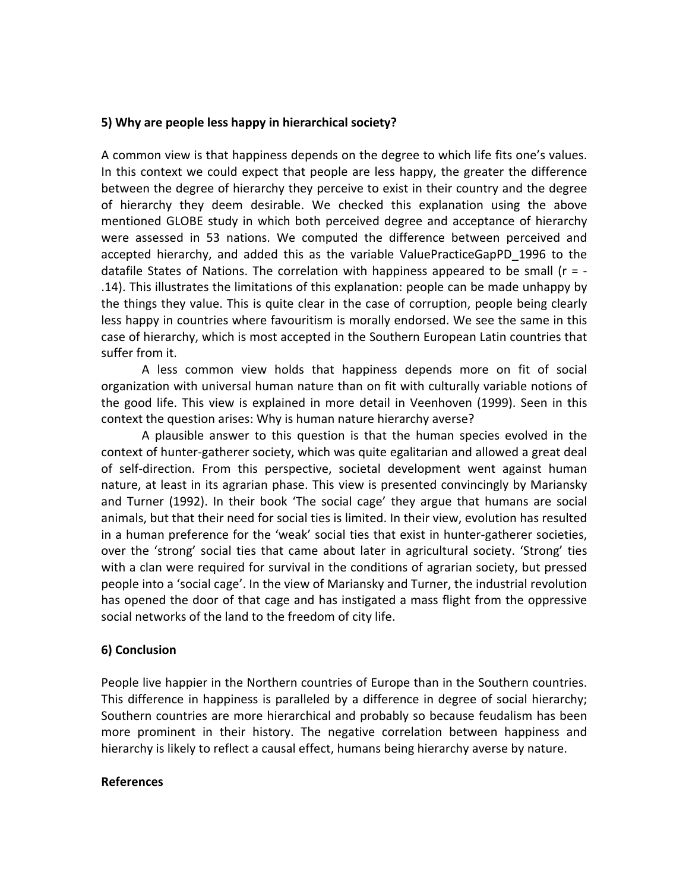# **5) Why are people less happy in hierarchical society?**

A common view is that happiness depends on the degree to which life fits one's values. In this context we could expect that people are less happy, the greater the difference between the degree of hierarchy they perceive to exist in their country and the degree of hierarchy they deem desirable. We checked this explanation using the above mentioned GLOBE study in which both perceived degree and acceptance of hierarchy were assessed in 53 nations. We computed the difference between perceived and accepted hierarchy, and added this as the variable ValuePracticeGapPD\_1996 to the datafile States of Nations. The correlation with happiness appeared to be small ( $r = -$ .14). This illustrates the limitations of this explanation: people can be made unhappy by the things they value. This is quite clear in the case of corruption, people being clearly less happy in countries where favouritism is morally endorsed. We see the same in this case of hierarchy, which is most accepted in the Southern European Latin countries that suffer from it.

A less common view holds that happiness depends more on fit of social organization with universal human nature than on fit with culturally variable notions of the good life. This view is explained in more detail in Veenhoven (1999). Seen in this context the question arises: Why is human nature hierarchy averse?

A plausible answer to this question is that the human species evolved in the context of hunter‐gatherer society, which was quite egalitarian and allowed a great deal of self‐direction. From this perspective, societal development went against human nature, at least in its agrarian phase. This view is presented convincingly by Mariansky and Turner (1992). In their book 'The social cage' they argue that humans are social animals, but that their need for social ties is limited. In their view, evolution has resulted in a human preference for the 'weak' social ties that exist in hunter‐gatherer societies, over the 'strong' social ties that came about later in agricultural society. 'Strong' ties with a clan were required for survival in the conditions of agrarian society, but pressed people into a 'social cage'. In the view of Mariansky and Turner, the industrial revolution has opened the door of that cage and has instigated a mass flight from the oppressive social networks of the land to the freedom of city life.

# **6) Conclusion**

People live happier in the Northern countries of Europe than in the Southern countries. This difference in happiness is paralleled by a difference in degree of social hierarchy; Southern countries are more hierarchical and probably so because feudalism has been more prominent in their history. The negative correlation between happiness and hierarchy is likely to reflect a causal effect, humans being hierarchy averse by nature.

#### **References**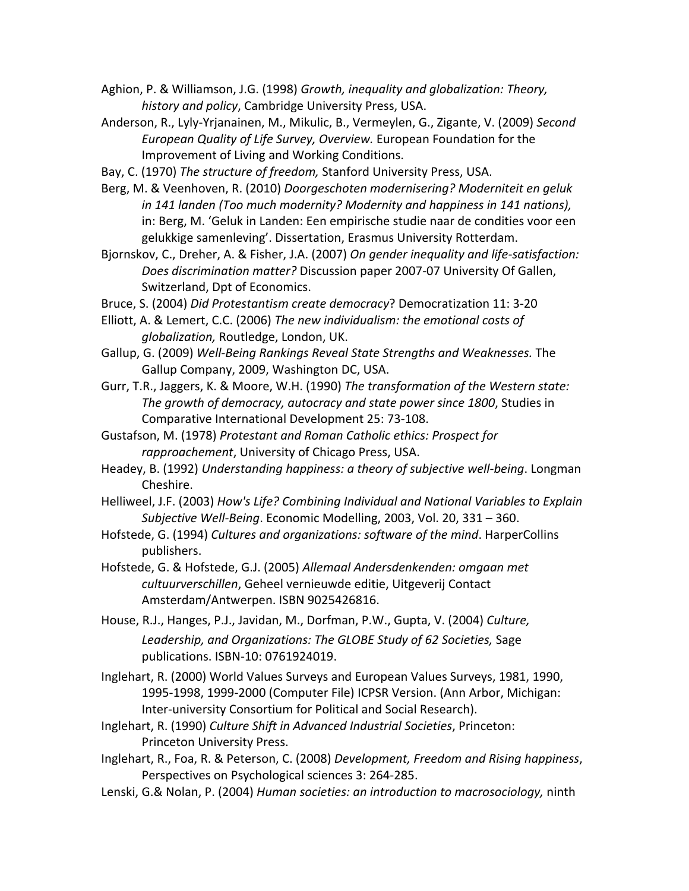- Aghion, P. & Williamson, J.G. (1998) *Growth, inequality and globalization: Theory, history and policy*, Cambridge University Press, USA.
- Anderson, R., Lyly‐Yrjanainen, M., Mikulic, B., Vermeylen, G., Zigante, V. (2009) *Second European Quality of Life Survey, Overview.* European Foundation for the Improvement of Living and Working Conditions.
- Bay, C. (1970) *The structure of freedom,* Stanford University Press, USA.
- Berg, M. & Veenhoven, R. (2010) *Doorgeschoten modernisering? Moderniteit en geluk in 141 landen (Too much modernity? Modernity and happiness in 141 nations),* in: Berg, M. 'Geluk in Landen: Een empirische studie naar de condities voor een gelukkige samenleving'. Dissertation, Erasmus University Rotterdam.
- Bjornskov, C., Dreher, A. & Fisher, J.A. (2007) *On gender inequality and life‐satisfaction: Does discrimination matter?* Discussion paper 2007‐07 University Of Gallen, Switzerland, Dpt of Economics.
- Bruce, S. (2004) *Did Protestantism create democracy*? Democratization 11: 3‐20
- Elliott, A. & Lemert, C.C. (2006) *The new individualism: the emotional costs of globalization,* Routledge, London, UK.
- Gallup, G. (2009) *Well‐Being Rankings Reveal State Strengths and Weaknesses.* The Gallup Company, 2009, Washington DC, USA.
- Gurr, T.R., Jaggers, K. & Moore, W.H. (1990) *The transformation of the Western state: The growth of democracy, autocracy and state power since 1800*, Studies in Comparative International Development 25: 73‐108.
- Gustafson, M. (1978) *Protestant and Roman Catholic ethics: Prospect for rapproachement*, University of Chicago Press, USA.
- Headey, B. (1992) *Understanding happiness: a theory of subjective well‐being*. Longman Cheshire.
- Helliweel, J.F. (2003) *How's Life? Combining Individual and National Variables to Explain Subjective Well‐Being*. Economic Modelling, 2003, Vol. 20, 331 – 360.
- Hofstede, G. (1994) *Cultures and organizations: software of the mind*. HarperCollins publishers.
- Hofstede, G. & Hofstede, G.J. (2005) *Allemaal Andersdenkenden: omgaan met cultuurverschillen*, Geheel vernieuwde editie, Uitgeverij Contact Amsterdam/Antwerpen. ISBN 9025426816.
- House, R.J., Hanges, P.J., Javidan, M., Dorfman, P.W., Gupta, V. (2004) *Culture, Leadership, and Organizations: The GLOBE Study of 62 Societies,* Sage publications. ISBN‐10: 0761924019.
- Inglehart, R. (2000) World Values Surveys and European Values Surveys, 1981, 1990, 1995‐1998, 1999‐2000 (Computer File) ICPSR Version. (Ann Arbor, Michigan: Inter‐university Consortium for Political and Social Research).
- Inglehart, R. (1990) *Culture Shift in Advanced Industrial Societies*, Princeton: Princeton University Press.
- Inglehart, R., Foa, R. & Peterson, C. (2008) *Development, Freedom and Rising happiness*, Perspectives on Psychological sciences 3: 264‐285.
- Lenski, G.& Nolan, P. (2004) *Human societies: an introduction to macrosociology,* ninth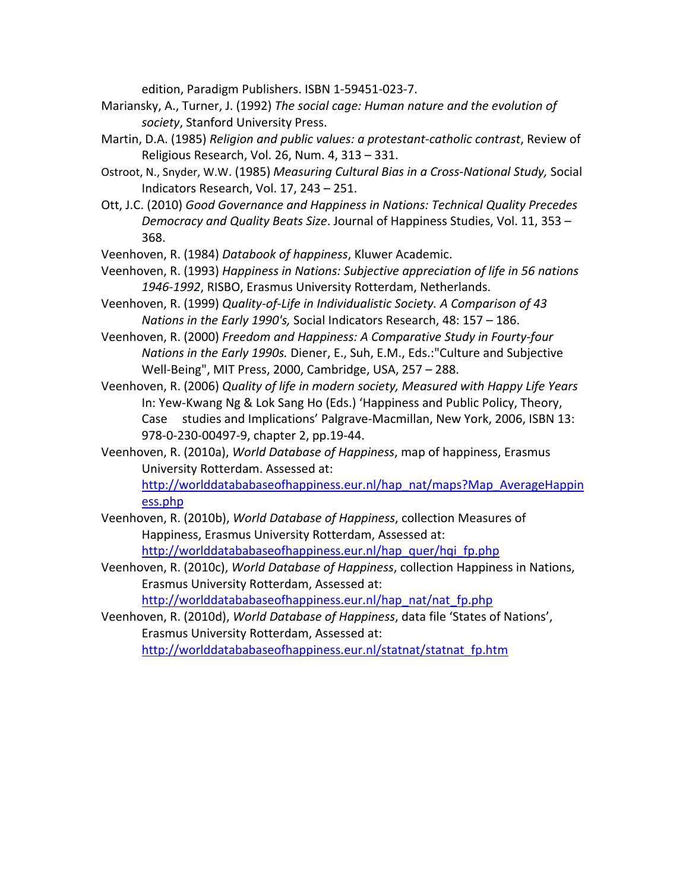edition, Paradigm Publishers. ISBN 1‐59451‐023‐7.

- Mariansky, A., Turner, J. (1992) *The social cage: Human nature and the evolution of society*, Stanford University Press.
- Martin, D.A. (1985) *Religion and public values: a protestant‐catholic contrast*, Review of Religious Research, Vol. 26, Num. 4, 313 – 331.
- Ostroot, N., Snyder, W.W. (1985) *Measuring Cultural Bias in a Cross‐National Study,* Social Indicators Research, Vol. 17, 243 – 251.
- Ott, J.C. (2010) *Good Governance and Happiness in Nations: Technical Quality Precedes Democracy and Quality Beats Size*. Journal of Happiness Studies, Vol. 11, 353 – 368.

Veenhoven, R. (1984) *Databook of happiness*, Kluwer Academic.

- Veenhoven, R. (1993) *Happiness in Nations: Subjective appreciation of life in 56 nations 1946‐1992*, RISBO, Erasmus University Rotterdam, Netherlands.
- Veenhoven, R. (1999) *Quality‐of‐Life in Individualistic Society. A Comparison of 43 Nations in the Early 1990's,* Social Indicators Research, 48: 157 – 186.
- Veenhoven, R. (2000) *Freedom and Happiness: A Comparative Study in Fourty‐four Nations in the Early 1990s.* Diener, E., Suh, E.M., Eds.:"Culture and Subjective Well‐Being", MIT Press, 2000, Cambridge, USA, 257 – 288.
- Veenhoven, R. (2006) *Quality of life in modern society, Measured with Happy Life Years* In: Yew‐Kwang Ng & Lok Sang Ho (Eds.) 'Happiness and Public Policy, Theory, Case studies and Implications' Palgrave‐Macmillan, New York, 2006, ISBN 13: 978‐0‐230‐00497‐9, chapter 2, pp.19‐44.
- Veenhoven, R. (2010a), *World Database of Happiness*, map of happiness, Erasmus University Rotterdam. Assessed at: [http://worlddatababaseofhappiness.eur.nl/hap\\_nat/maps?Map\\_AverageHappin](http://worlddatababaseofhappiness.eur.nl/hap_nat/maps?Map_AverageHappiness.php)

[ess.php](http://worlddatababaseofhappiness.eur.nl/hap_nat/maps?Map_AverageHappiness.php)

- Veenhoven, R. (2010b), *World Database of Happiness*, collection Measures of Happiness, Erasmus University Rotterdam, Assessed at: [http://worlddatababaseofhappiness.eur.nl/hap\\_quer/hqi\\_fp.php](http://worlddatababaseofhappiness.eur.nl/hap_quer/hqi_fp.php)
- Veenhoven, R. (2010c), *World Database of Happiness*, collection Happiness in Nations, Erasmus University Rotterdam, Assessed at:

[http://worlddatababaseofhappiness.eur.nl/hap\\_nat/nat\\_fp.php](http://worlddatababaseofhappiness.eur.nl/hap_nat/nat_fp.php)

Veenhoven, R. (2010d), *World Database of Happiness*, data file 'States of Nations', Erasmus University Rotterdam, Assessed at: [http://worlddatababaseofhappiness.eur.nl/statnat/statnat\\_fp.htm](http://worlddatababaseofhappiness.eur.nl/statnat/statnat_fp.htm)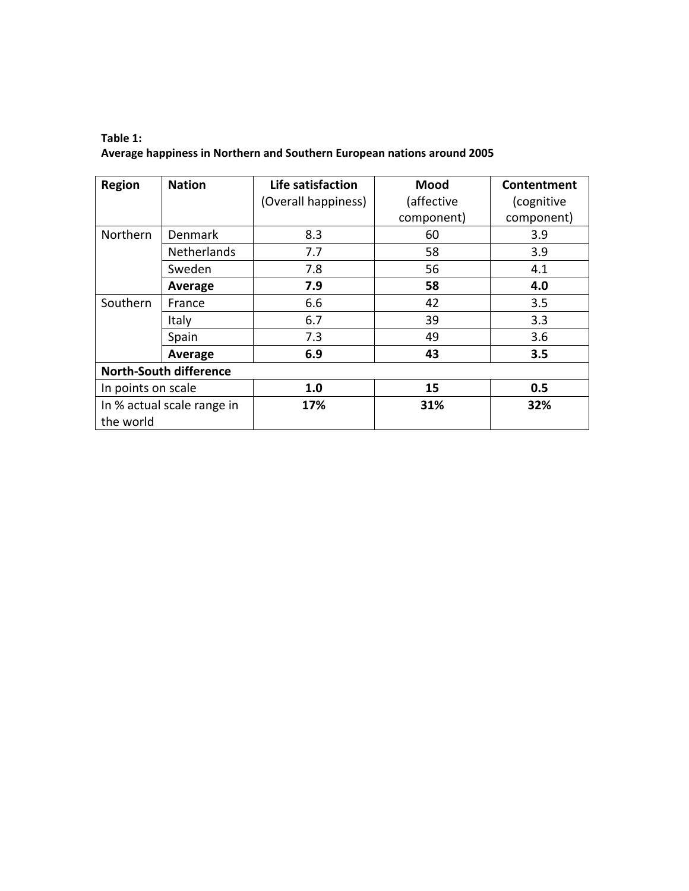# <span id="page-14-0"></span>**Table 1: Average happiness in Northern and Southern European nations around 2005**

| <b>Region</b><br><b>Nation</b>          |                               | Life satisfaction   | Mood       | Contentment |  |
|-----------------------------------------|-------------------------------|---------------------|------------|-------------|--|
|                                         |                               | (Overall happiness) | (affective | (cognitive  |  |
|                                         |                               |                     | component) | component)  |  |
| Northern                                | Denmark                       | 8.3                 | 60         | 3.9         |  |
|                                         | <b>Netherlands</b>            | 7.7                 | 58         | 3.9         |  |
|                                         | Sweden                        | 7.8                 | 56         | 4.1         |  |
|                                         | Average                       | 7.9                 | 58         | 4.0         |  |
| Southern                                | France                        | 6.6                 | 42         | 3.5         |  |
|                                         | Italy                         | 6.7                 | 39         | 3.3         |  |
|                                         | Spain                         | 7.3                 | 49         | 3.6         |  |
|                                         | Average                       | 6.9                 | 43         | 3.5         |  |
|                                         | <b>North-South difference</b> |                     |            |             |  |
| In points on scale                      |                               | 1.0                 | 15         | 0.5         |  |
| In % actual scale range in<br>the world |                               | 17%                 | 31%        | 32%         |  |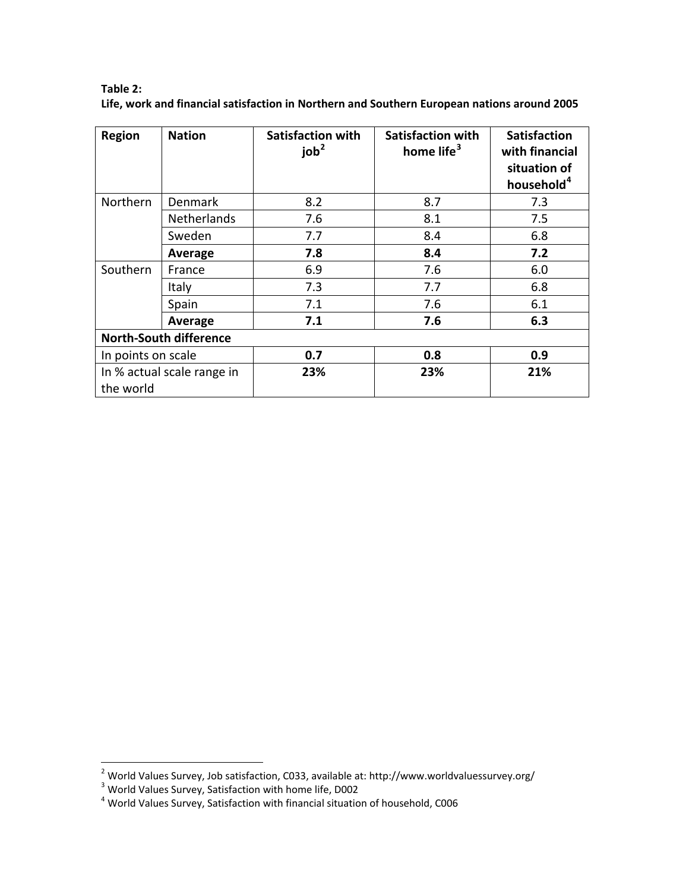<span id="page-15-0"></span>

| Table 2:                                                                                    |  |
|---------------------------------------------------------------------------------------------|--|
| Life, work and financial satisfaction in Northern and Southern European nations around 2005 |  |
|                                                                                             |  |

| <b>Region</b>                           | <b>Nation</b>                 | <b>Satisfaction with</b><br>job <sup>2</sup> | <b>Satisfaction with</b><br>home life <sup>3</sup> | <b>Satisfaction</b><br>with financial<br>situation of<br>household <sup>4</sup> |
|-----------------------------------------|-------------------------------|----------------------------------------------|----------------------------------------------------|---------------------------------------------------------------------------------|
| Northern                                | <b>Denmark</b>                | 8.2                                          | 8.7                                                | 7.3                                                                             |
|                                         | <b>Netherlands</b>            | 7.6                                          | 8.1                                                | 7.5                                                                             |
|                                         | Sweden                        | 7.7                                          | 8.4                                                | 6.8                                                                             |
|                                         | Average                       | 7.8                                          | 8.4                                                | 7.2                                                                             |
| Southern                                | France                        | 6.9                                          | 7.6                                                | 6.0                                                                             |
|                                         | Italy                         | 7.3                                          | 7.7                                                | 6.8                                                                             |
|                                         | Spain                         | 7.1                                          | 7.6                                                | 6.1                                                                             |
|                                         | Average                       | 7.1                                          | 7.6                                                | 6.3                                                                             |
|                                         | <b>North-South difference</b> |                                              |                                                    |                                                                                 |
| In points on scale                      |                               | 0.7                                          | 0.8                                                | 0.9                                                                             |
| In % actual scale range in<br>the world |                               | 23%                                          | 23%                                                | 21%                                                                             |

<span id="page-15-2"></span><span id="page-15-1"></span><sup>&</sup>lt;sup>2</sup> World Values Survey, Job satisfaction, C033, available at: http://www.worldvaluessurvey.org/<br><sup>3</sup> World Values Survey, Satisfaction with home life, D002<br><sup>4</sup> World Values Survey, Satisfaction with financial situation of

<span id="page-15-3"></span>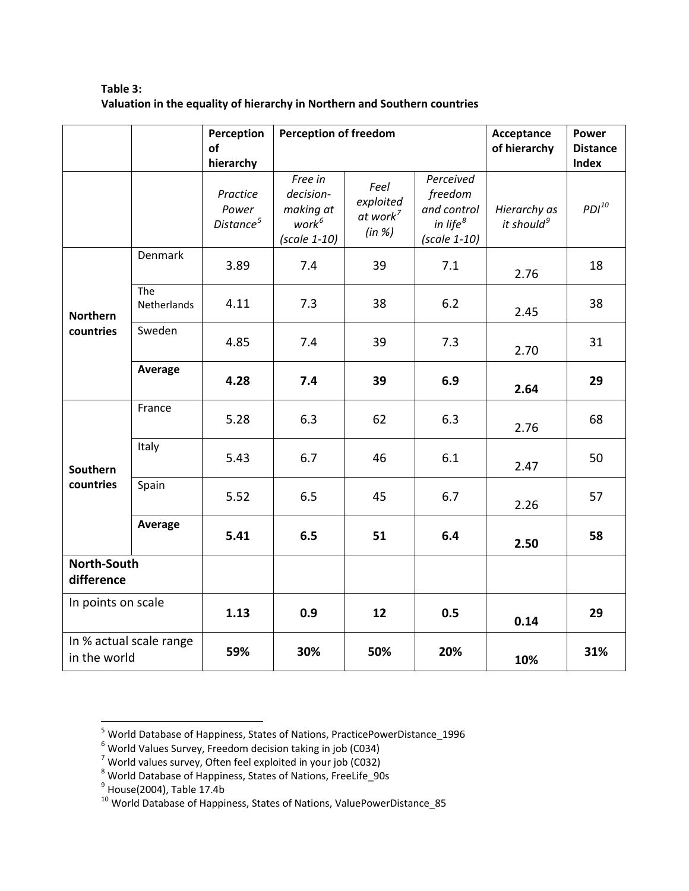| Table 3:                                                                  |
|---------------------------------------------------------------------------|
| Valuation in the equality of hierarchy in Northern and Southern countries |

<span id="page-16-0"></span>

|                                         |                    | Perception<br>of<br>hierarchy              | <b>Perception of freedom</b>                                    |                                                     |                                                                      | Acceptance<br>of hierarchy             | <b>Power</b><br><b>Distance</b><br><b>Index</b> |
|-----------------------------------------|--------------------|--------------------------------------------|-----------------------------------------------------------------|-----------------------------------------------------|----------------------------------------------------------------------|----------------------------------------|-------------------------------------------------|
|                                         |                    | Practice<br>Power<br>Distance <sup>5</sup> | Free in<br>decision-<br>making at<br>$work^6$<br>$(scale 1-10)$ | Feel<br>exploited<br>at work <sup>7</sup><br>(in %) | Perceived<br>freedom<br>and control<br>in life $8$<br>$(scale 1-10)$ | Hierarchy as<br>it should <sup>9</sup> | $PDI^{10}$                                      |
| <b>Northern</b><br>countries            | Denmark            | 3.89                                       | 7.4                                                             | 39                                                  | 7.1                                                                  | 2.76                                   | 18                                              |
|                                         | The<br>Netherlands | 4.11                                       | 7.3                                                             | 38                                                  | 6.2                                                                  | 2.45                                   | 38                                              |
|                                         | Sweden             | 4.85                                       | 7.4                                                             | 39                                                  | 7.3                                                                  | 2.70                                   | 31                                              |
|                                         | Average            | 4.28                                       | 7.4                                                             | 39                                                  | 6.9                                                                  | 2.64                                   | 29                                              |
| <b>Southern</b><br>countries            | France             | 5.28                                       | 6.3                                                             | 62                                                  | 6.3                                                                  | 2.76                                   | 68                                              |
|                                         | Italy              | 5.43                                       | 6.7                                                             | 46                                                  | 6.1                                                                  | 2.47                                   | 50                                              |
|                                         | Spain              | 5.52                                       | 6.5                                                             | 45                                                  | 6.7                                                                  | 2.26                                   | 57                                              |
|                                         | Average            | 5.41                                       | 6.5                                                             | 51                                                  | 6.4                                                                  | 2.50                                   | 58                                              |
| North-South<br>difference               |                    |                                            |                                                                 |                                                     |                                                                      |                                        |                                                 |
| In points on scale                      |                    | 1.13                                       | 0.9                                                             | 12                                                  | 0.5                                                                  | 0.14                                   | 29                                              |
| In % actual scale range<br>in the world |                    | 59%                                        | 30%                                                             | 50%                                                 | 20%                                                                  | 10%                                    | 31%                                             |

<span id="page-16-1"></span><sup>&</sup>lt;sup>5</sup> World Database of Happiness, States of Nations, PracticePowerDistance\_1996<br><sup>6</sup> World Values Survey, Freedom decision taking in job (C034)<br><sup>7</sup> World values survey, Often feel exploited in your job (C032)<br><sup>8</sup> World Data

<span id="page-16-2"></span>

<span id="page-16-3"></span>

<span id="page-16-4"></span>

<span id="page-16-5"></span>

<span id="page-16-6"></span>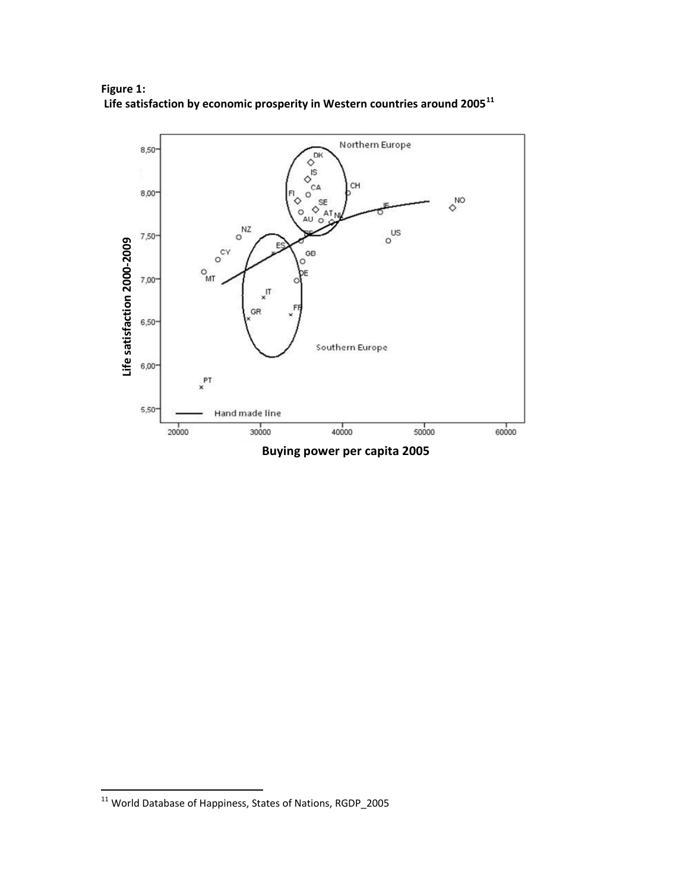

**Figure 1: Life satisfaction by economic prosperity in Western countries around 2005[11](#page-17-0)** 

**GDP 2005 Buying power per capita 2005**

1

<span id="page-17-0"></span> $^{11}$  World Database of Happiness, States of Nations, RGDP\_2005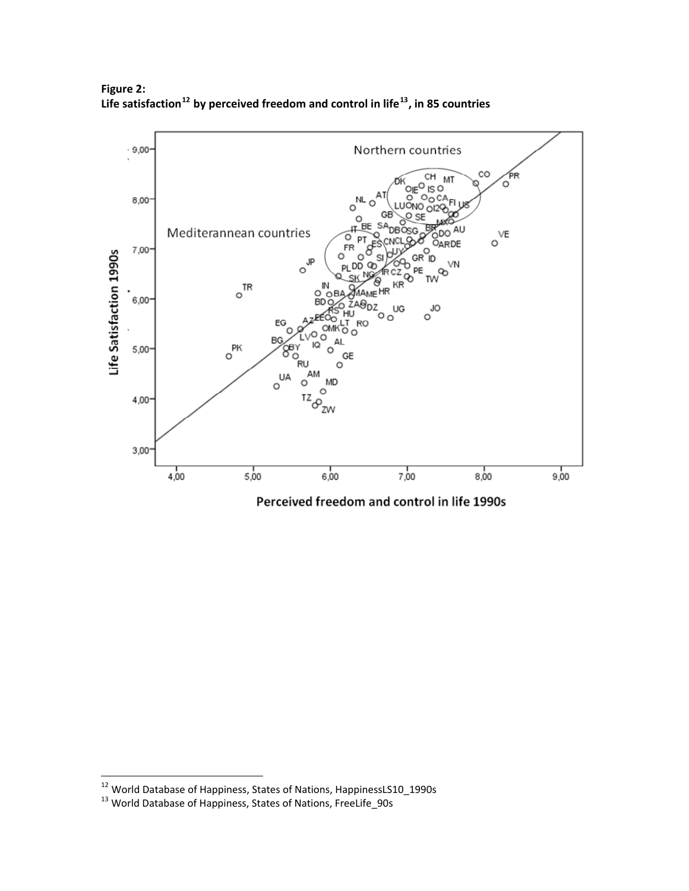

<span id="page-18-0"></span>**Figure 2: Life satisfaction[12](#page-18-1) by perceived freedom and control in life[13](#page-18-2), in 85 countries**

Perceived freedom and control in life 1990s

<span id="page-18-1"></span><sup>&</sup>lt;sup>12</sup> World Database of Happiness, States of Nations, HappinessLS10\_1990s<br><sup>13</sup> World Database of Happiness, States of Nations, FreeLife\_90s

<span id="page-18-2"></span>